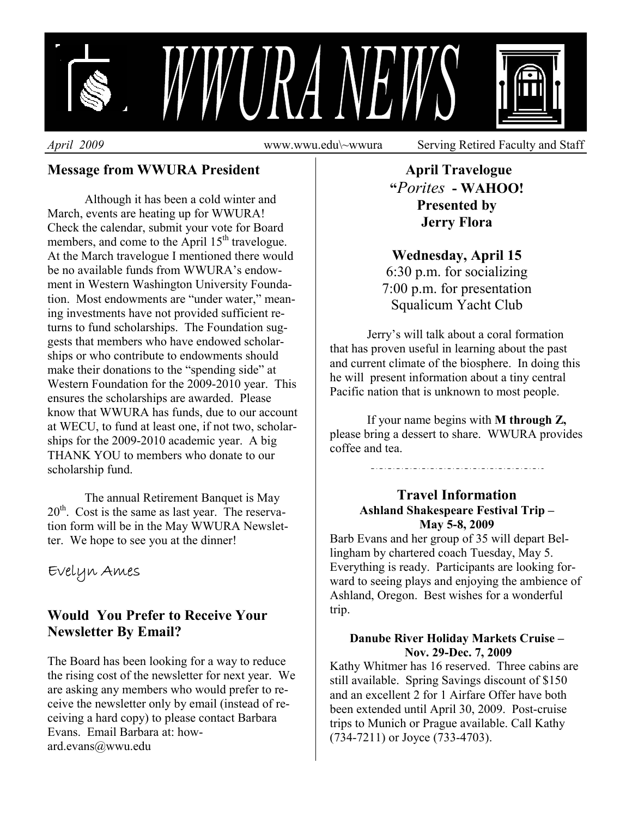

*April 2009* www.wwu.edu\~wwura Serving Retired Faculty and Staff

## **Message from WWURA President**

Although it has been a cold winter and March, events are heating up for WWURA! Check the calendar, submit your vote for Board members, and come to the April  $15<sup>th</sup>$  travelogue. At the March travelogue I mentioned there would be no available funds from WWURA's endowment in Western Washington University Foundation. Most endowments are "under water," meaning investments have not provided sufficient returns to fund scholarships. The Foundation suggests that members who have endowed scholarships or who contribute to endowments should make their donations to the "spending side" at Western Foundation for the 2009-2010 year. This ensures the scholarships are awarded. Please know that WWURA has funds, due to our account at WECU, to fund at least one, if not two, scholarships for the 2009-2010 academic year. A big THANK YOU to members who donate to our scholarship fund.

The annual Retirement Banquet is May  $20<sup>th</sup>$ . Cost is the same as last year. The reservation form will be in the May WWURA Newsletter. We hope to see you at the dinner!

# Evelyn Ames

## **Would You Prefer to Receive Your Newsletter By Email?**

The Board has been looking for a way to reduce the rising cost of the newsletter for next year. We are asking any members who would prefer to receive the newsletter only by email (instead of receiving a hard copy) to please contact Barbara Evans. Email Barbara at: howard.evans@wwu.edu

## **April Travelogue "***Porites* **- WAHOO! Presented by Jerry Flora**

## **Wednesday, April 15**

6:30 p.m. for socializing 7:00 p.m. for presentation Squalicum Yacht Club

 Jerry's will talk about a coral formation that has proven useful in learning about the past and current climate of the biosphere. In doing this he will present information about a tiny central Pacific nation that is unknown to most people.

 If your name begins with **M through Z,**  please bring a dessert to share. WWURA provides coffee and tea.

#### **Travel Information Ashland Shakespeare Festival Trip – May 5-8, 2009**

Barb Evans and her group of 35 will depart Bellingham by chartered coach Tuesday, May 5. Everything is ready. Participants are looking forward to seeing plays and enjoying the ambience of Ashland, Oregon. Best wishes for a wonderful trip.

#### **Danube River Holiday Markets Cruise – Nov. 29-Dec. 7, 2009**

Kathy Whitmer has 16 reserved. Three cabins are still available. Spring Savings discount of \$150 and an excellent 2 for 1 Airfare Offer have both been extended until April 30, 2009. Post-cruise trips to Munich or Prague available. Call Kathy (734-7211) or Joyce (733-4703).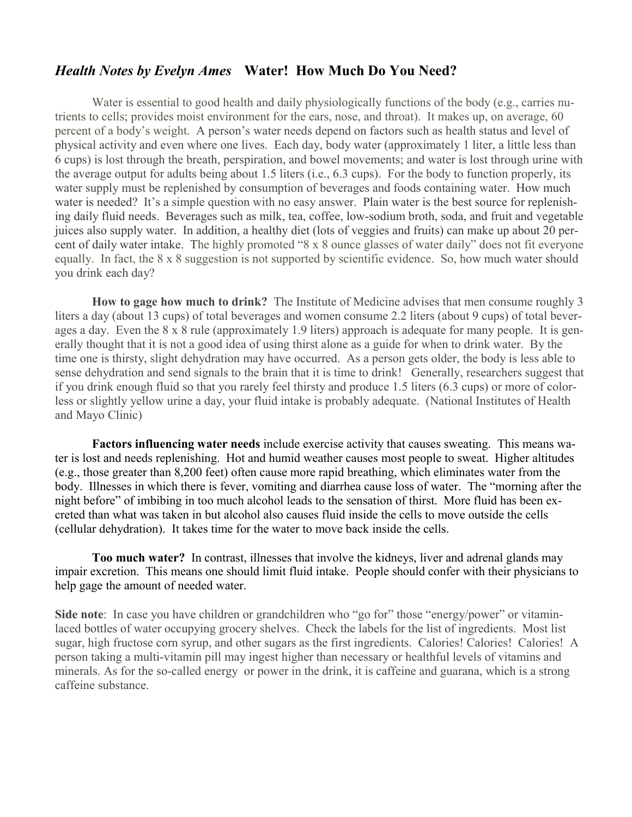## *Health Notes by Evelyn Ames* **Water! How Much Do You Need?**

Water is essential to good health and daily physiologically functions of the body (e.g., carries nutrients to cells; provides moist environment for the ears, nose, and throat). It makes up, on average, 60 percent of a body's weight. A person's water needs depend on factors such as health status and level of physical activity and even where one lives. Each day, body water (approximately 1 liter, a little less than 6 cups) is lost through the breath, perspiration, and bowel movements; and water is lost through urine with the average output for adults being about 1.5 liters (i.e., 6.3 cups). For the body to function properly, its water supply must be replenished by consumption of beverages and foods containing water. How much water is needed? It's a simple question with no easy answer. Plain water is the best source for replenishing daily fluid needs. Beverages such as milk, tea, coffee, low-sodium broth, soda, and fruit and vegetable juices also supply water. In addition, a healthy diet (lots of veggies and fruits) can make up about 20 percent of daily water intake. The highly promoted "8 x 8 ounce glasses of water daily" does not fit everyone equally. In fact, the 8 x 8 suggestion is not supported by scientific evidence. So, how much water should you drink each day?

**How to gage how much to drink?** The Institute of Medicine advises that men consume roughly 3 liters a day (about 13 cups) of total beverages and women consume 2.2 liters (about 9 cups) of total beverages a day. Even the 8 x 8 rule (approximately 1.9 liters) approach is adequate for many people. It is generally thought that it is not a good idea of using thirst alone as a guide for when to drink water. By the time one is thirsty, slight dehydration may have occurred. As a person gets older, the body is less able to sense dehydration and send signals to the brain that it is time to drink! Generally, researchers suggest that if you drink enough fluid so that you rarely feel thirsty and produce 1.5 liters (6.3 cups) or more of colorless or slightly yellow urine a day, your fluid intake is probably adequate. (National Institutes of Health and Mayo Clinic)

**Factors influencing water needs** include exercise activity that causes sweating. This means water is lost and needs replenishing. Hot and humid weather causes most people to sweat. Higher altitudes (e.g., those greater than 8,200 feet) often cause more rapid breathing, which eliminates water from the body. Illnesses in which there is fever, vomiting and diarrhea cause loss of water. The "morning after the night before" of imbibing in too much alcohol leads to the sensation of thirst. More fluid has been excreted than what was taken in but alcohol also causes fluid inside the cells to move outside the cells (cellular dehydration). It takes time for the water to move back inside the cells.

**Too much water?** In contrast, illnesses that involve the kidneys, liver and adrenal glands may impair excretion. This means one should limit fluid intake. People should confer with their physicians to help gage the amount of needed water.

**Side note**: In case you have children or grandchildren who "go for" those "energy/power" or vitaminlaced bottles of water occupying grocery shelves. Check the labels for the list of ingredients. Most list sugar, high fructose corn syrup, and other sugars as the first ingredients. Calories! Calories! Calories! A person taking a multi-vitamin pill may ingest higher than necessary or healthful levels of vitamins and minerals. As for the so-called energy or power in the drink, it is caffeine and guarana, which is a strong caffeine substance.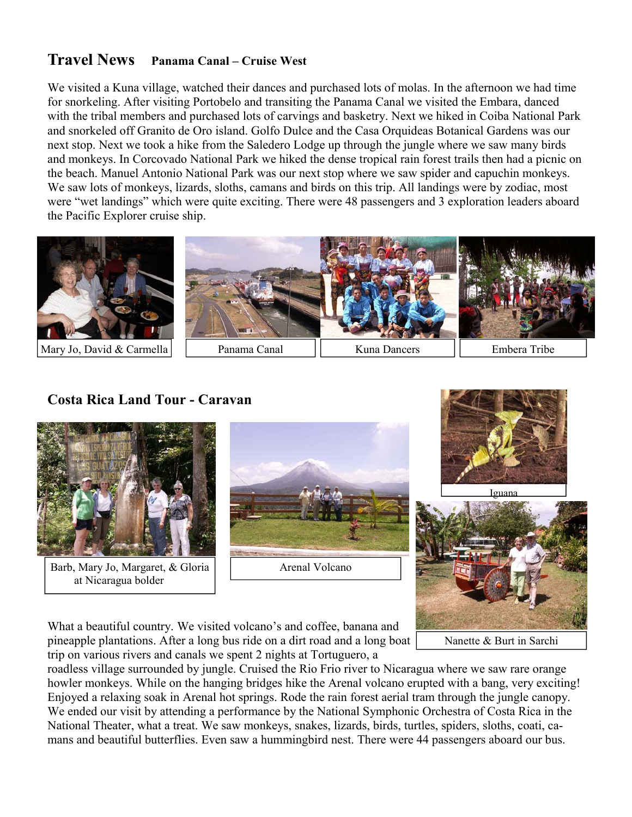## **Travel News Panama Canal – Cruise West**

We visited a Kuna village, watched their dances and purchased lots of molas. In the afternoon we had time for snorkeling. After visiting Portobelo and transiting the Panama Canal we visited the Embara, danced with the tribal members and purchased lots of carvings and basketry. Next we hiked in Coiba National Park and snorkeled off Granito de Oro island. Golfo Dulce and the Casa Orquideas Botanical Gardens was our next stop. Next we took a hike from the Saledero Lodge up through the jungle where we saw many birds and monkeys. In Corcovado National Park we hiked the dense tropical rain forest trails then had a picnic on the beach. Manuel Antonio National Park was our next stop where we saw spider and capuchin monkeys. We saw lots of monkeys, lizards, sloths, camans and birds on this trip. All landings were by zodiac, most were "wet landings" which were quite exciting. There were 48 passengers and 3 exploration leaders aboard the Pacific Explorer cruise ship.



## **Costa Rica Land Tour - Caravan**



Barb, Mary Jo, Margaret, & Gloria at Nicaragua bolder





What a beautiful country. We visited volcano's and coffee, banana and pineapple plantations. After a long bus ride on a dirt road and a long boat trip on various rivers and canals we spent 2 nights at Tortuguero, a

Nanette & Burt in Sarchi

roadless village surrounded by jungle. Cruised the Rio Frio river to Nicaragua where we saw rare orange howler monkeys. While on the hanging bridges hike the Arenal volcano erupted with a bang, very exciting! Enjoyed a relaxing soak in Arenal hot springs. Rode the rain forest aerial tram through the jungle canopy. We ended our visit by attending a performance by the National Symphonic Orchestra of Costa Rica in the National Theater, what a treat. We saw monkeys, snakes, lizards, birds, turtles, spiders, sloths, coati, camans and beautiful butterflies. Even saw a hummingbird nest. There were 44 passengers aboard our bus.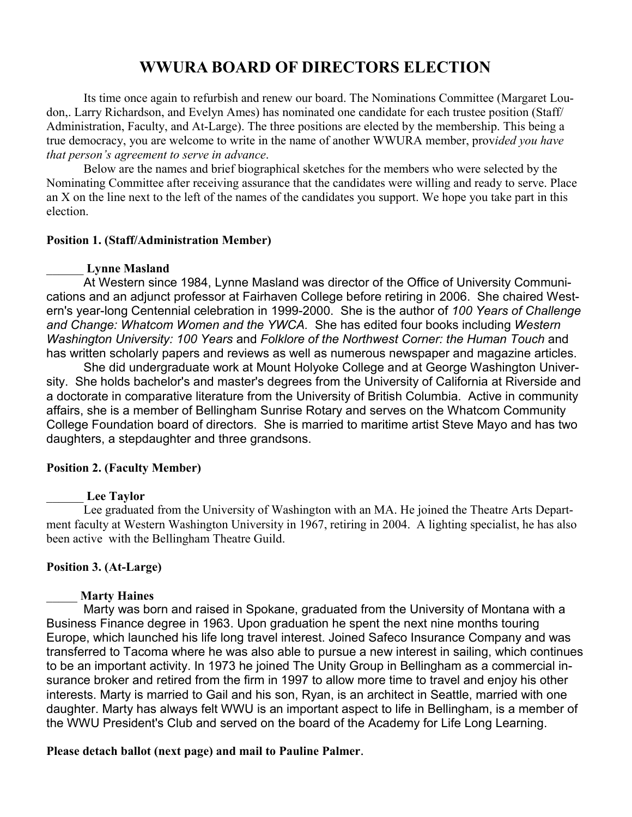# **WWURA BOARD OF DIRECTORS ELECTION**

 Its time once again to refurbish and renew our board. The Nominations Committee (Margaret Loudon,. Larry Richardson, and Evelyn Ames) has nominated one candidate for each trustee position (Staff/ Administration, Faculty, and At-Large). The three positions are elected by the membership. This being a true democracy, you are welcome to write in the name of another WWURA member, prov*ided you have that person's agreement to serve in advance*.

 Below are the names and brief biographical sketches for the members who were selected by the Nominating Committee after receiving assurance that the candidates were willing and ready to serve. Place an X on the line next to the left of the names of the candidates you support. We hope you take part in this election.

#### **Position 1. (Staff/Administration Member)**

#### \_\_\_\_\_\_ **Lynne Masland**

At Western since 1984, Lynne Masland was director of the Office of University Communications and an adjunct professor at Fairhaven College before retiring in 2006. She chaired Western's year-long Centennial celebration in 1999-2000. She is the author of *100 Years of Challenge and Change: Whatcom Women and the YWCA.* She has edited four books including *Western Washington University: 100 Years* and *Folklore of the Northwest Corner: the Human Touch* and has written scholarly papers and reviews as well as numerous newspaper and magazine articles.

 She did undergraduate work at Mount Holyoke College and at George Washington University. She holds bachelor's and master's degrees from the University of California at Riverside and a doctorate in comparative literature from the University of British Columbia. Active in community affairs, she is a member of Bellingham Sunrise Rotary and serves on the Whatcom Community College Foundation board of directors. She is married to maritime artist Steve Mayo and has two daughters, a stepdaughter and three grandsons.

#### **Position 2. (Faculty Member)**

#### \_\_\_\_\_\_ **Lee Taylor**

 Lee graduated from the University of Washington with an MA. He joined the Theatre Arts Department faculty at Western Washington University in 1967, retiring in 2004. A lighting specialist, he has also been active with the Bellingham Theatre Guild.

#### **Position 3. (At-Large)**

#### \_\_\_\_\_ **Marty Haines**

Marty was born and raised in Spokane, graduated from the University of Montana with a Business Finance degree in 1963. Upon graduation he spent the next nine months touring Europe, which launched his life long travel interest. Joined Safeco Insurance Company and was transferred to Tacoma where he was also able to pursue a new interest in sailing, which continues to be an important activity. In 1973 he joined The Unity Group in Bellingham as a commercial insurance broker and retired from the firm in 1997 to allow more time to travel and enjoy his other interests. Marty is married to Gail and his son, Ryan, is an architect in Seattle, married with one daughter. Marty has always felt WWU is an important aspect to life in Bellingham, is a member of the WWU President's Club and served on the board of the Academy for Life Long Learning.

#### **Please detach ballot (next page) and mail to Pauline Palmer**.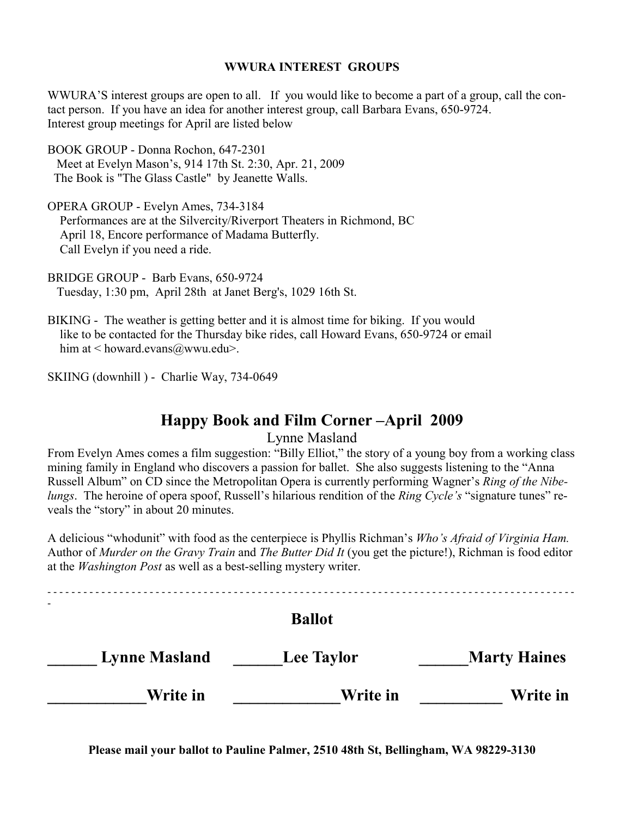#### **WWURA INTEREST GROUPS**

WWURA'S interest groups are open to all. If you would like to become a part of a group, call the contact person. If you have an idea for another interest group, call Barbara Evans, 650-9724. Interest group meetings for April are listed below

BOOK GROUP - Donna Rochon, 647-2301 Meet at Evelyn Mason's, 914 17th St. 2:30, Apr. 21, 2009 The Book is "The Glass Castle" by Jeanette Walls.

OPERA GROUP - Evelyn Ames, 734-3184 Performances are at the Silvercity/Riverport Theaters in Richmond, BC April 18, Encore performance of Madama Butterfly. Call Evelyn if you need a ride.

BRIDGE GROUP - Barb Evans, 650-9724 Tuesday, 1:30 pm, April 28th at Janet Berg's, 1029 16th St.

BIKING - The weather is getting better and it is almost time for biking. If you would like to be contacted for the Thursday bike rides, call Howard Evans, 650-9724 or email him at  $\leq$  howard.evans $\omega$ wwu.edu $\geq$ .

SKIING (downhill ) - Charlie Way, 734-0649

## **Happy Book and Film Corner –April 2009**

Lynne Masland

From Evelyn Ames comes a film suggestion: "Billy Elliot," the story of a young boy from a working class mining family in England who discovers a passion for ballet. She also suggests listening to the "Anna Russell Album" on CD since the Metropolitan Opera is currently performing Wagner's *Ring of the Nibelungs*. The heroine of opera spoof, Russell's hilarious rendition of the *Ring Cycle's* "signature tunes" reveals the "story" in about 20 minutes.

A delicious "whodunit" with food as the centerpiece is Phyllis Richman's *Who's Afraid of Virginia Ham.* Author of *Murder on the Gravy Train* and *The Butter Did It* (you get the picture!), Richman is food editor at the *Washington Post* as well as a best-selling mystery writer.

| $\overline{\phantom{a}}$ | <b>Ballot</b>     |                     |
|--------------------------|-------------------|---------------------|
| <b>Lynne Masland</b>     | <b>Lee Taylor</b> | <b>Marty Haines</b> |
| Write in                 | Write in          | Write in            |

**Please mail your ballot to Pauline Palmer, 2510 48th St, Bellingham, WA 98229-3130**